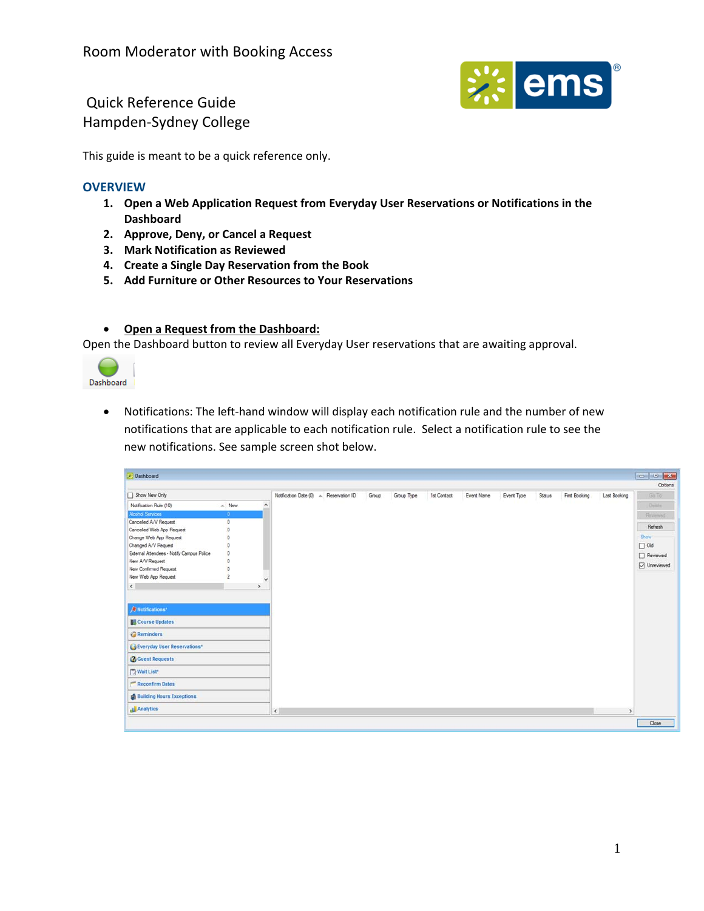

This guide is meant to be a quick reference only.

### **OVERVIEW**

- **1. Open a Web Application Request from Everyday User Reservations or Notifications in the Dashboard**
- **2. Approve, Deny, or Cancel a Request**
- **3. Mark Notification as Reviewed**
- **4. Create a Single Day Reservation from the Book**
- **5. Add Furniture or Other Resources to Your Reservations**

#### **Open a Request from the Dashboard:**

Open the Dashboard button to review all Everyday User reservations that are awaiting approval.



● Notifications: The left-hand window will display each notification rule and the number of new notifications that are applicable to each notification rule. Select a notification rule to see the new notifications. See sample screen shot below.

| Dashboard                                 |                |               |                                        |       |            |             |            |            |               |               |              | $\left  \begin{array}{c c c c} \hline \text{} & \text{} \end{array} \right $ |
|-------------------------------------------|----------------|---------------|----------------------------------------|-------|------------|-------------|------------|------------|---------------|---------------|--------------|------------------------------------------------------------------------------|
| Show New Only                             |                |               | Notification Date (0) A Reservation ID | Group | Group Type | 1st Contact | Event Name | Event Type | <b>Status</b> | First Booking | Last Booking | Options<br>Go To                                                             |
| Notification Rule (10)                    | $\land$ New    | $\land$       |                                        |       |            |             |            |            |               |               |              | Delate:                                                                      |
| <b>Alcohol Services</b>                   | $\bullet$      |               |                                        |       |            |             |            |            |               |               |              | <b>Hexewed</b>                                                               |
| Cancelled A/V Request                     | $\circ$        |               |                                        |       |            |             |            |            |               |               |              |                                                                              |
| Cancelled Web App Request                 | $\circ$        |               |                                        |       |            |             |            |            |               |               |              | Refresh                                                                      |
| Change Web App Request                    | $\circ$        |               |                                        |       |            |             |            |            |               |               |              | Show                                                                         |
| Changed A/V Request                       | $\circ$        |               |                                        |       |            |             |            |            |               |               |              | $\Box$ Old                                                                   |
| External Attendees - Notify Campus Police | 0              |               |                                        |       |            |             |            |            |               |               |              | $\Box$ Reviewed                                                              |
| New A/V Request                           | $\circ$        |               |                                        |       |            |             |            |            |               |               |              | O Unreviewed                                                                 |
| New Confirmed Request                     | $\circ$        |               |                                        |       |            |             |            |            |               |               |              |                                                                              |
| New Web App Request                       | $\overline{2}$ | $\checkmark$  |                                        |       |            |             |            |            |               |               |              |                                                                              |
| $\left\langle \cdot \right\rangle$        |                | $\rightarrow$ |                                        |       |            |             |            |            |               |               |              |                                                                              |
| <b><i>N</i></b> Notifications*            |                |               |                                        |       |            |             |            |            |               |               |              |                                                                              |
| Course Updates                            |                |               |                                        |       |            |             |            |            |               |               |              |                                                                              |
| Reminders                                 |                |               |                                        |       |            |             |            |            |               |               |              |                                                                              |
| Everyday User Reservations*               |                |               |                                        |       |            |             |            |            |               |               |              |                                                                              |
| <b>B</b> Guest Requests                   |                |               |                                        |       |            |             |            |            |               |               |              |                                                                              |
| Wait List*                                |                |               |                                        |       |            |             |            |            |               |               |              |                                                                              |
| Reconfirm Dates                           |                |               |                                        |       |            |             |            |            |               |               |              |                                                                              |
| <b>Building Hours Exceptions</b>          |                |               |                                        |       |            |             |            |            |               |               |              |                                                                              |
| <b>Analytics</b>                          |                |               | $\epsilon$                             |       |            |             |            |            |               |               | $\,$         |                                                                              |
|                                           |                |               |                                        |       |            |             |            |            |               |               |              | Close                                                                        |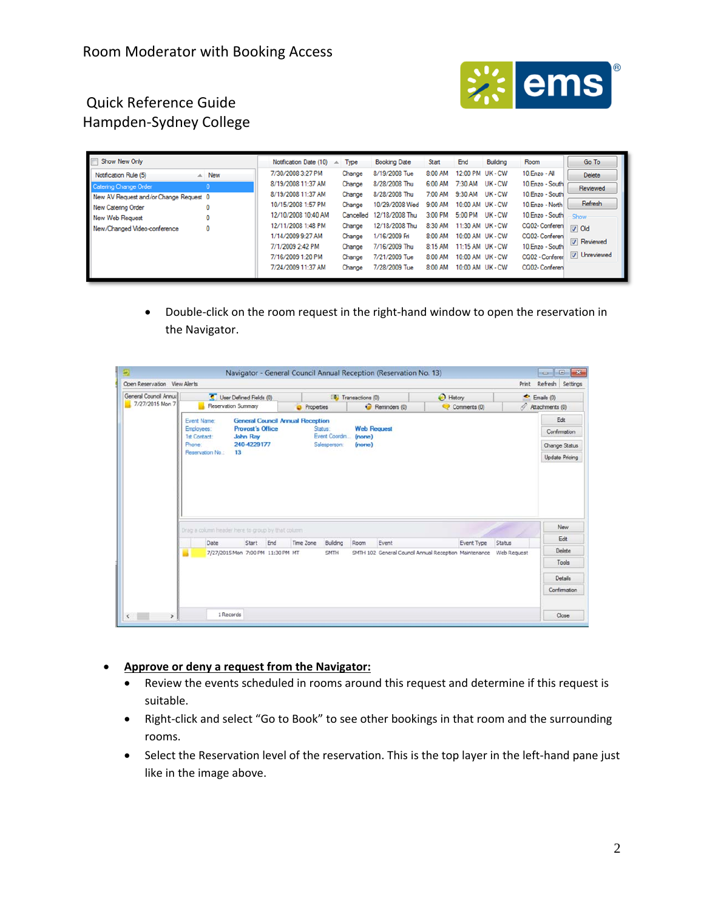

| Show New Only                            | Notification Date (10) | Type      | <b>Booking Date</b> | Start   | End              | Building | Room             | Go To                       |
|------------------------------------------|------------------------|-----------|---------------------|---------|------------------|----------|------------------|-----------------------------|
| $\triangle$ New<br>Notification Rule (5) | 7/30/2008 3:27 PM      | Change    | 8/19/2008 Tue       | 8:00 AM | 12:00 PM UK - CW |          | 10.Enzo - All    | <b>Delete</b>               |
| Catering Change Order                    | 8/19/2008 11:37 AM     | Change    | 8/28/2008 Thu       | 6:00 AM | 7:30 AM          | UK-CW    | 10. Enzo - South | Reviewed                    |
| New AV Request and/or Change Request 0   | 8/19/2008 11:37 AM     | Change    | 8/28/2008 Thu       | 7:00 AM | 9:30 AM          | UK-CW    | 10. Enzo - South |                             |
| New Catering Order<br>O                  | 10/15/2008 1:57 PM     | Change    | 10/29/2008 Wed      | 9:00 AM | 10:00 AM UK - CW |          | 10. Enzo - North | Refresh                     |
| New Web Request                          | 12/10/2008 10:40 AM    | Cancelled | 12/18/2008 Thu      | 3:00 PM | 5:00 PM          | UK-CW    | 10. Enzo - South | Show                        |
| New/Changed Video-conference<br>0        | 12/11/2008 1:48 PM     | Change    | 12/18/2008 Thu      | 8:30 AM | 11:30 AM UK - CW |          | CQ02-Conferen    | $\boxed{\triangledown}$ Old |
|                                          | 1/14/2009 9:27 AM      | Change    | 1/16/2009 Fri       | 8:00 AM | 10:00 AM UK - CW |          | CQ02- Conferen   | <b>V</b> Reviewed           |
|                                          | 7/1/2009 2:42 PM       | Change    | 7/16/2009 Thu       | 8:15 AM | 11:15 AM UK - CW |          | 10.Enzo - South  |                             |
|                                          | 7/16/2009 1:20 PM      | Change    | 7/21/2009 Tue       | 8:00 AM | 10:00 AM UK - CW |          | CQ02 - Conferer  | V Unreviewed                |
|                                          | 7/24/2009 11:37 AM     | Change    | 7/28/2009 Tue       | 8:00 AM | 10:00 AM UK - CW |          | CQ02-Conferen    |                             |

● Double-click on the room request in the right-hand window to open the reservation in the Navigator.

| General Council Annual |                                                   | User Defined Fields (0)                 |                                            |            |                          | Transactions (0)       |                                                       | <b>B</b> History<br>Comments (0) |            |                       | $E$ Emails $(0)$ |  |
|------------------------|---------------------------------------------------|-----------------------------------------|--------------------------------------------|------------|--------------------------|------------------------|-------------------------------------------------------|----------------------------------|------------|-----------------------|------------------|--|
| 7/27/2015 Mon 7        |                                                   | Reservation Summary                     |                                            | Properties |                          |                        | Reminders (0)                                         |                                  |            |                       | Attachments (0)  |  |
|                        | Event Name:                                       | <b>General Council Annual Reception</b> |                                            |            |                          |                        |                                                       |                                  |            |                       | Edit             |  |
|                        | Employees:<br><b>1st Contact:</b>                 |                                         | <b>Provost's Office</b><br><b>John Ray</b> |            | Status:<br>Event Coordin |                        | <b>Web Request</b>                                    |                                  |            |                       | Confirmation     |  |
|                        | Phone:                                            | 240-4229177                             |                                            |            | Salesperson:             | (none)<br>$($ nome $)$ |                                                       |                                  |            |                       | Change Status    |  |
|                        | Reservation No.:<br>13                            |                                         |                                            |            |                          |                        |                                                       |                                  |            | <b>Update Pricing</b> |                  |  |
|                        |                                                   |                                         |                                            |            |                          |                        |                                                       |                                  |            |                       |                  |  |
|                        | Drag a column header here to group by that column |                                         |                                            |            |                          |                        |                                                       |                                  |            |                       | New              |  |
|                        | Date                                              | Start                                   | End                                        | Time Zone  | Building                 | Room                   | Event                                                 |                                  | Event Type | Status                | Edit             |  |
|                        |                                                   | 7/27/2015 Mon 7:00 PM 11:30 PM MT       |                                            |            | SMTH                     |                        | SMTH 102 General Council Annual Reception Maintenance |                                  |            | Web Request           | Delete           |  |
|                        |                                                   |                                         |                                            |            |                          |                        |                                                       |                                  |            |                       | Tools            |  |
|                        |                                                   |                                         |                                            |            |                          |                        |                                                       |                                  |            |                       | Details          |  |

- **Approve or deny a request from the Navigator:**
	- Review the events scheduled in rooms around this request and determine if this request is suitable.
	- Right-click and select "Go to Book" to see other bookings in that room and the surrounding rooms.
	- Select the Reservation level of the reservation. This is the top layer in the left-hand pane just like in the image above.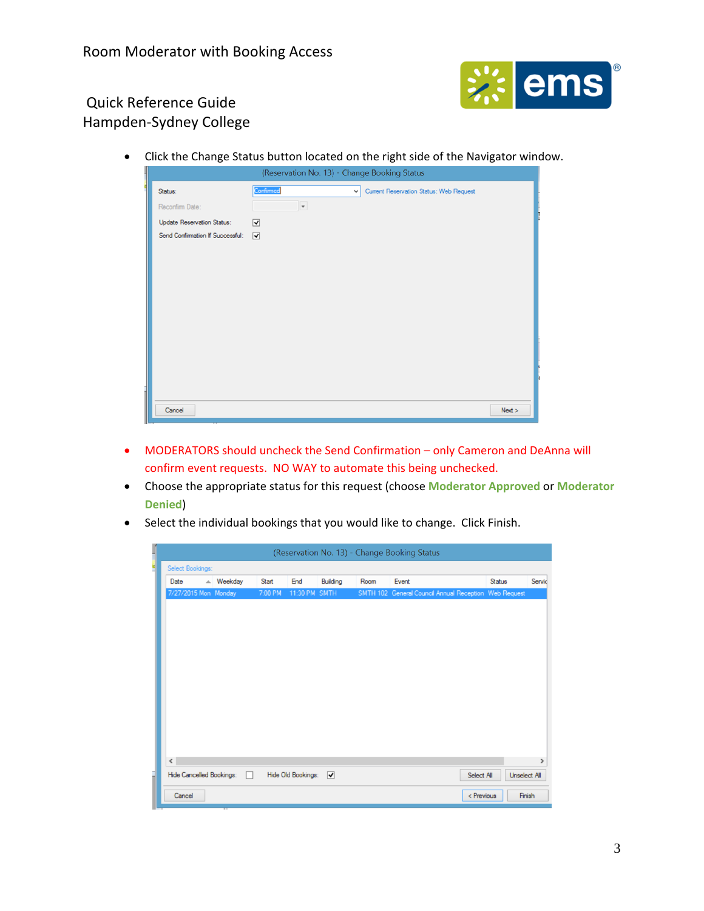

Click the Change Status button located on the right side of the Navigator window.

|                                   | (Reservation No. 13) - Change Booking Status                         |  |
|-----------------------------------|----------------------------------------------------------------------|--|
| Status:                           | Confirmed<br>Current Reservation Status: Web Request<br>$\checkmark$ |  |
| Reconfirm Date:                   | $\overline{\phantom{a}}$                                             |  |
| <b>Update Reservation Status:</b> | ⊽                                                                    |  |
| Send Confirmation If Successful:  | $\overline{\blacktriangledown}$                                      |  |
|                                   |                                                                      |  |
|                                   |                                                                      |  |
|                                   |                                                                      |  |
|                                   |                                                                      |  |
|                                   |                                                                      |  |
|                                   |                                                                      |  |
|                                   |                                                                      |  |
|                                   |                                                                      |  |
|                                   |                                                                      |  |
|                                   |                                                                      |  |
|                                   |                                                                      |  |
| Cancel                            | Next >                                                               |  |

- MODERATORS should uncheck the Send Confirmation only Cameron and DeAnna will confirm event requests. NO WAY to automate this being unchecked.
- Choose the appropriate status for this request (choose **Moderator Approved** or **Moderator Denied**)
- Select the individual bookings that you would like to change. Click Finish.

| $\frac{1}{2}$ |              |                          |                     |         |                    |             |      | (Reservation No. 13) - Change Booking Status          |            |        |              |
|---------------|--------------|--------------------------|---------------------|---------|--------------------|-------------|------|-------------------------------------------------------|------------|--------|--------------|
|               |              | Select Bookings:         |                     |         |                    |             |      |                                                       |            |        |              |
|               |              | Date                     | $\triangle$ Weekday | Start   | End                | Building    | Room | Event                                                 |            | Status | Servic       |
|               |              | 7/27/2015 Mon Monday     |                     | 7:00 PM | 11:30 PM           | <b>SMTH</b> |      | SMTH 102 General Council Annual Reception Web Request |            |        |              |
|               |              |                          |                     |         |                    |             |      |                                                       |            |        |              |
|               |              |                          |                     |         |                    |             |      |                                                       |            |        |              |
|               |              |                          |                     |         |                    |             |      |                                                       |            |        |              |
|               |              |                          |                     |         |                    |             |      |                                                       |            |        |              |
|               |              |                          |                     |         |                    |             |      |                                                       |            |        |              |
|               |              |                          |                     |         |                    |             |      |                                                       |            |        |              |
|               |              |                          |                     |         |                    |             |      |                                                       |            |        |              |
|               |              |                          |                     |         |                    |             |      |                                                       |            |        |              |
|               |              |                          |                     |         |                    |             |      |                                                       |            |        |              |
|               |              |                          |                     |         |                    |             |      |                                                       |            |        |              |
|               |              |                          |                     |         |                    |             |      |                                                       |            |        |              |
|               | $\checkmark$ |                          |                     |         |                    |             |      |                                                       |            |        | $\,$         |
|               |              | Hide Cancelled Bookings: |                     | n.      | Hide Old Bookings: | ▽           |      |                                                       | Select All |        | Unselect All |
| İ             |              |                          |                     |         |                    |             |      |                                                       |            |        |              |
|               |              | Cancel                   |                     |         |                    |             |      |                                                       | < Previous |        | Finish       |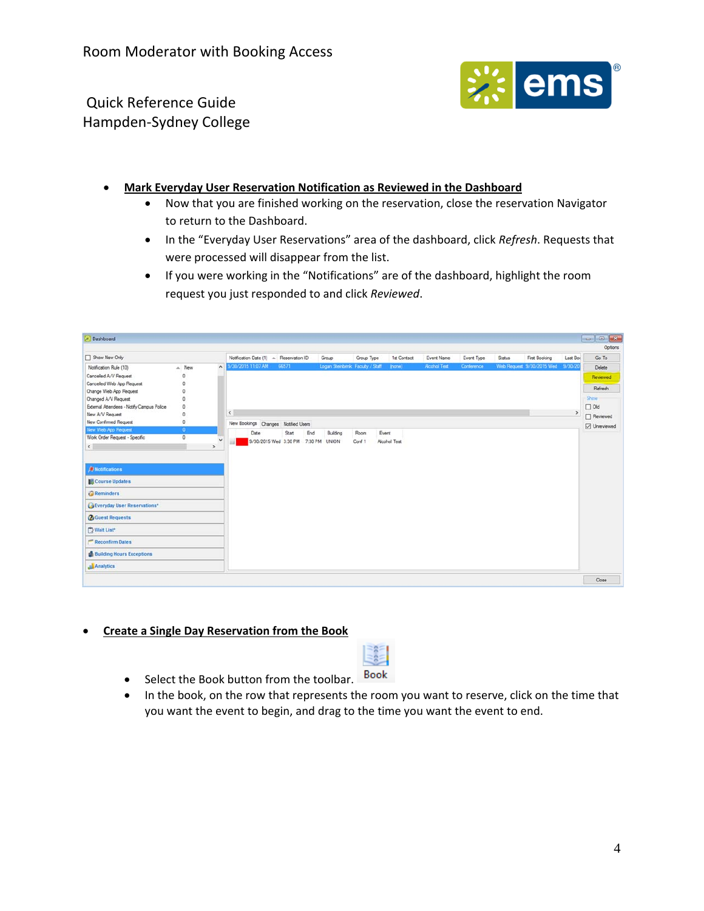

- **Mark Everyday User Reservation Notification as Reviewed in the Dashboard**
	- Now that you are finished working on the reservation, close the reservation Navigator to return to the Dashboard.
	- In the "Everyday User Reservations" area of the dashboard, click *Refresh*. Requests that were processed will disappear from the list.
	- If you were working in the "Notifications" are of the dashboard, highlight the room request you just responded to and click *Reviewed*.

| Dashboard                                            |              |                                 |                                        |              |                                  |               |              |                    |            |               |                           |               |               |
|------------------------------------------------------|--------------|---------------------------------|----------------------------------------|--------------|----------------------------------|---------------|--------------|--------------------|------------|---------------|---------------------------|---------------|---------------|
|                                                      |              |                                 |                                        |              |                                  |               |              |                    |            |               |                           |               | Options       |
| Show New Only                                        |              |                                 | Notification Date (1) - Reservation ID |              | Group                            | Group Type    | 1st Contact  | Event Name         | Event Type | <b>Status</b> | First Booking             | Last Bod      | Go To         |
| Notification Rule (10)                               | - New        | $\sim$                          | 9/30/2015 11:07 AM                     | 66571        | Logan Steinbrink Faculty / Staff |               | (none)       | <b>Acchol Test</b> | Conference |               | Web Request 9/30/2015 Wed | 9/30/20       | <b>Delete</b> |
| Cancelled A/V Request                                | 0            |                                 |                                        |              |                                  |               |              |                    |            |               |                           |               | Reviewed      |
| Cancelled Web App Request                            | 0            |                                 |                                        |              |                                  |               |              |                    |            |               |                           |               | Refresh       |
| Change Web App Request                               | 0            |                                 |                                        |              |                                  |               |              |                    |            |               |                           |               |               |
| Changed A/V Request                                  | $\circ$      |                                 |                                        |              |                                  |               |              |                    |            |               |                           |               | <b>Show</b>   |
| External Attendees - Notify Campus Police            | $\mathbf 0$  |                                 |                                        |              |                                  |               |              |                    |            |               |                           |               | $\Box$ Old    |
| New A/V Request                                      | 0            |                                 | $\leq$                                 |              |                                  |               |              |                    |            |               |                           | $\rightarrow$ | □ Reviewed    |
| New Confirmed Request                                | ٥            |                                 | New Bookings Changes Notified Users    |              |                                  |               |              |                    |            |               |                           |               | □ Unreviewed  |
| New Web App Request<br>Work Order Request - Specific | 0<br>$\circ$ |                                 | Date                                   | Start<br>End | Building                         | Event<br>Room |              |                    |            |               |                           |               |               |
| $\left\langle \right\rangle$                         |              | $\overline{ }$<br>$\rightarrow$ | 9/30/2015 Wed 3:30 PM                  |              | 7:30 PM UNION                    | Cont 1        | Alcohol Test |                    |            |               |                           |               |               |
| <b>Notifications</b>                                 |              |                                 |                                        |              |                                  |               |              |                    |            |               |                           |               |               |
| Course Updates                                       |              |                                 |                                        |              |                                  |               |              |                    |            |               |                           |               |               |
| Reminders                                            |              |                                 |                                        |              |                                  |               |              |                    |            |               |                           |               |               |
| Everyday User Reservations*                          |              |                                 |                                        |              |                                  |               |              |                    |            |               |                           |               |               |
| <b><i>Q</i></b> Guest Requests                       |              |                                 |                                        |              |                                  |               |              |                    |            |               |                           |               |               |
| Wait List*                                           |              |                                 |                                        |              |                                  |               |              |                    |            |               |                           |               |               |
| Reconfirm Dates                                      |              |                                 |                                        |              |                                  |               |              |                    |            |               |                           |               |               |
| <b>Building Hours Exceptions</b>                     |              |                                 |                                        |              |                                  |               |              |                    |            |               |                           |               |               |
| <b>Analytics</b>                                     |              |                                 |                                        |              |                                  |               |              |                    |            |               |                           |               |               |
|                                                      |              |                                 |                                        |              |                                  |               |              |                    |            |               |                           |               | Close         |

#### **Create a Single Day Reservation from the Book**

- Select the Book button from the toolbar. Book
- In the book, on the row that represents the room you want to reserve, click on the time that you want the event to begin, and drag to the time you want the event to end.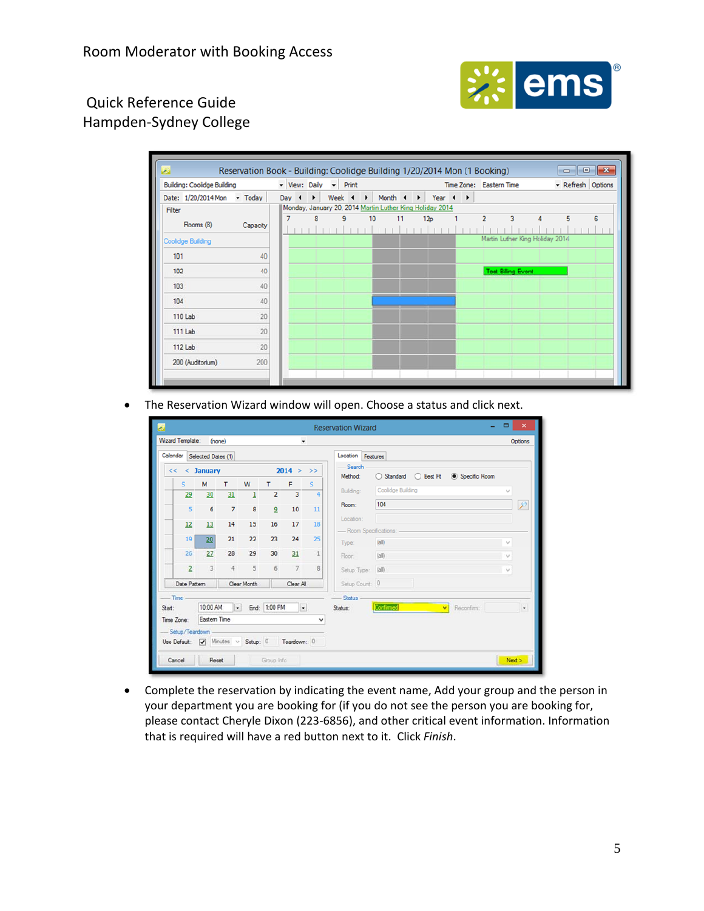

| <b>Building: Coolidge Building</b>        |          |                  | v View: Daily v Print |   |    |    |                                                                                            |  | Time Zone: Eastern Time |                                 |   |   | - Refresh Options |
|-------------------------------------------|----------|------------------|-----------------------|---|----|----|--------------------------------------------------------------------------------------------|--|-------------------------|---------------------------------|---|---|-------------------|
| Date: $1/20/2014$ Mon $\rightarrow$ Today |          | Day $\leftarrow$ |                       |   |    |    | Week $\leftarrow \rightarrow$ Month $\leftarrow \rightarrow$ Year $\leftarrow \rightarrow$ |  |                         |                                 |   |   |                   |
| Filter                                    |          |                  |                       |   |    |    | Monday, January 20, 2014 Martin Luther King Holiday 2014                                   |  |                         |                                 |   |   |                   |
| Rooms (8)                                 | Capacity | 7                | 8                     | 9 | 10 | 11 | 12p                                                                                        |  | $\overline{2}$          | 3                               | 4 | 5 | 6                 |
| <b>Coolidge Building</b>                  |          |                  |                       |   |    |    |                                                                                            |  |                         | Martin Luther King Holiday 2014 |   |   |                   |
| 101                                       | 40       |                  |                       |   |    |    |                                                                                            |  |                         |                                 |   |   |                   |
| 102                                       | 40       |                  |                       |   |    |    |                                                                                            |  |                         | <b>Test Billing Event</b>       |   |   |                   |
| 103                                       | 40       |                  |                       |   |    |    |                                                                                            |  |                         |                                 |   |   |                   |
| 104                                       | 40       |                  |                       |   |    |    |                                                                                            |  |                         |                                 |   |   |                   |
| 110 Lab                                   | 20       |                  |                       |   |    |    |                                                                                            |  |                         |                                 |   |   |                   |
| 111 Lab                                   | 20       |                  |                       |   |    |    |                                                                                            |  |                         |                                 |   |   |                   |
| $112$ Lab                                 | 20       |                  |                       |   |    |    |                                                                                            |  |                         |                                 |   |   |                   |
| 200 (Auditorium)                          | 200      |                  |                       |   |    |    |                                                                                            |  |                         |                                 |   |   |                   |

The Reservation Wizard window will open. Choose a status and click next.

| z, |                                               |              |                |              |                |                |               | <b>Reservation Wizard</b>             | $\Box$<br>$\boldsymbol{\mathsf{x}}$ |
|----|-----------------------------------------------|--------------|----------------|--------------|----------------|----------------|---------------|---------------------------------------|-------------------------------------|
|    | <b>Wizard Template:</b>                       |              | (none)         |              |                | $\ddot{}$      |               |                                       | Options                             |
|    | Calendar Selected Dates (1)                   |              |                |              |                |                |               | Location Features                     |                                     |
|    | <<                                            | $<$ January  |                |              |                | 2014 >         | $\rightarrow$ | -Search                               |                                     |
|    | $\mathsf{s}$                                  | M            | т              | W            | т              | F              | s             | Method:                               |                                     |
|    | 29                                            | 30           | 31             | $\mathbf{1}$ | $\overline{2}$ | 3              | 4             | Coolidge Building<br>Building:        | $\sim$                              |
|    | 5                                             | 6            | $\overline{7}$ | 8            | $\overline{9}$ | 10             | 11            | 104<br>Room:                          |                                     |
|    | 12                                            | 13           | 14             | 15           | 16             | 17             | 18            | Location:<br>- Room Specifications: - |                                     |
|    | 19                                            | 20           | 21             | 22           | 23             | 24             | 25            | (d)<br>Type:                          | $\checkmark$                        |
|    | 26                                            | 27           | 28             | 29           | 30             | 31             | $\mathbf{1}$  | (a)<br>Floor.                         | $\mathcal{G}$                       |
|    | $\overline{2}$                                | 3            | 4              | 5            | 6              | $\overline{7}$ | 8             | Setup Type:<br>(dall)                 | $\vee$                              |
|    | Date Pattern                                  |              |                | Clear Month  |                | Clear All      |               | Setup Count: 0                        |                                     |
|    | Time                                          |              |                |              |                |                |               | <b>Status</b>                         |                                     |
|    | Start:                                        | 10:00 AM     |                | $\cdot$      | End: 1:00 PM   | $\cdot$        |               | Confirmed<br>Recordim<br>Status:      | $\scriptstyle\rm w$                 |
|    | Time Zone:                                    | Eastern Time |                |              |                |                | v             |                                       |                                     |
|    | -Setup/Teardown -                             |              |                |              |                |                |               |                                       |                                     |
|    | Use Default: V Minutes v Setup: 0 Teardown: 0 |              |                |              |                |                |               |                                       |                                     |
|    | Cancel                                        | Reset        |                |              | Group Info     |                |               |                                       | New >                               |

 Complete the reservation by indicating the event name, Add your group and the person in your department you are booking for (if you do not see the person you are booking for, please contact Cheryle Dixon (223‐6856), and other critical event information. Information that is required will have a red button next to it. Click *Finish*.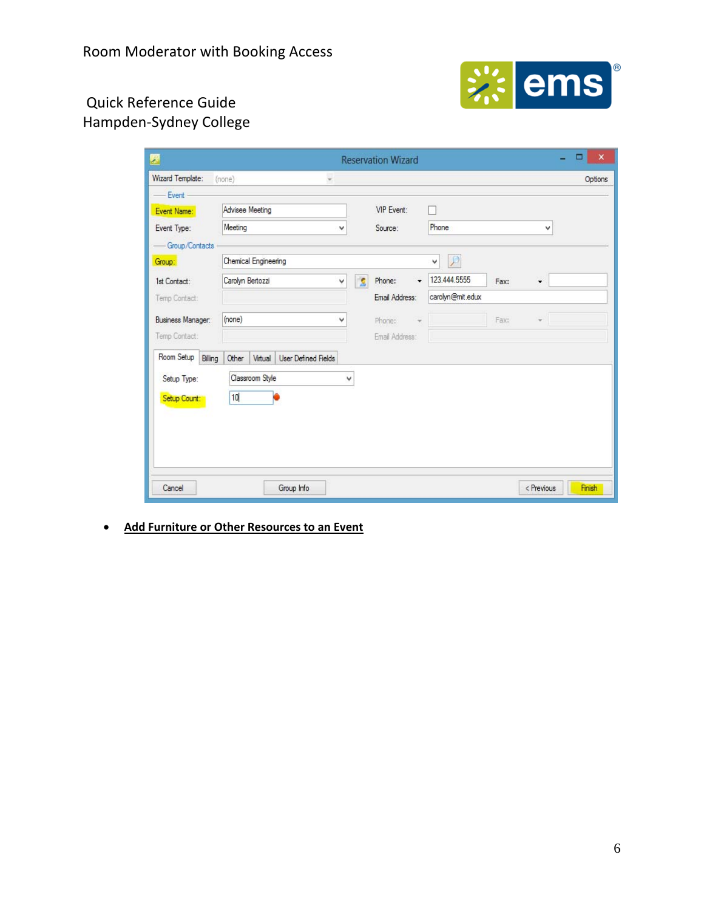Room Moderator with Booking Access



# Hampden‐Sydney College

| 婴                        |                                                |                              | <b>Reservation Wizard</b> |                      |            | $\boldsymbol{\mathsf{x}}$<br>п |
|--------------------------|------------------------------------------------|------------------------------|---------------------------|----------------------|------------|--------------------------------|
| Wizard Template:         | (none)<br>$\omega$                             |                              |                           |                      |            | Options                        |
| Event -                  |                                                |                              |                           |                      |            |                                |
| Event Name:              | Advisee Meeting                                |                              | VIP Event:                |                      |            |                                |
| Event Type:              | Meeting                                        | ٧                            | Source:                   | Phone                | v          |                                |
| - Group/Contacts         |                                                |                              |                           |                      |            |                                |
| Group:                   | Chemical Engineering                           |                              |                           | $\Omega$<br>٧        |            |                                |
| 1st Contact:             | Carolyn Bertozzi                               | $\overline{\mathbf{S}}$<br>Ÿ | Phone:                    | 123.444.5555<br>Fax: | ۰          |                                |
| Temp Contact:            |                                                |                              | Email Address:            | carolyn@mit.edux     |            |                                |
| <b>Business Manager:</b> | (none)                                         | ٧                            | Phone:                    | Fax:                 |            |                                |
| Temp Contact:            |                                                |                              | Email Address:            |                      |            |                                |
| Room Setup<br>Billing    | Other<br><b>User Defined Fields</b><br>Virtual |                              |                           |                      |            |                                |
| Setup Type:              | Classroom Style                                | ٧                            |                           |                      |            |                                |
|                          |                                                |                              |                           |                      |            |                                |
| Setup Count:             | 10                                             |                              |                           |                      |            |                                |
|                          |                                                |                              |                           |                      |            |                                |
|                          |                                                |                              |                           |                      |            |                                |
|                          |                                                |                              |                           |                      |            |                                |
|                          |                                                |                              |                           |                      |            |                                |
| Cancel                   | Group Info                                     |                              |                           |                      | < Previous | Finish                         |

**Add Furniture or Other Resources to an Event**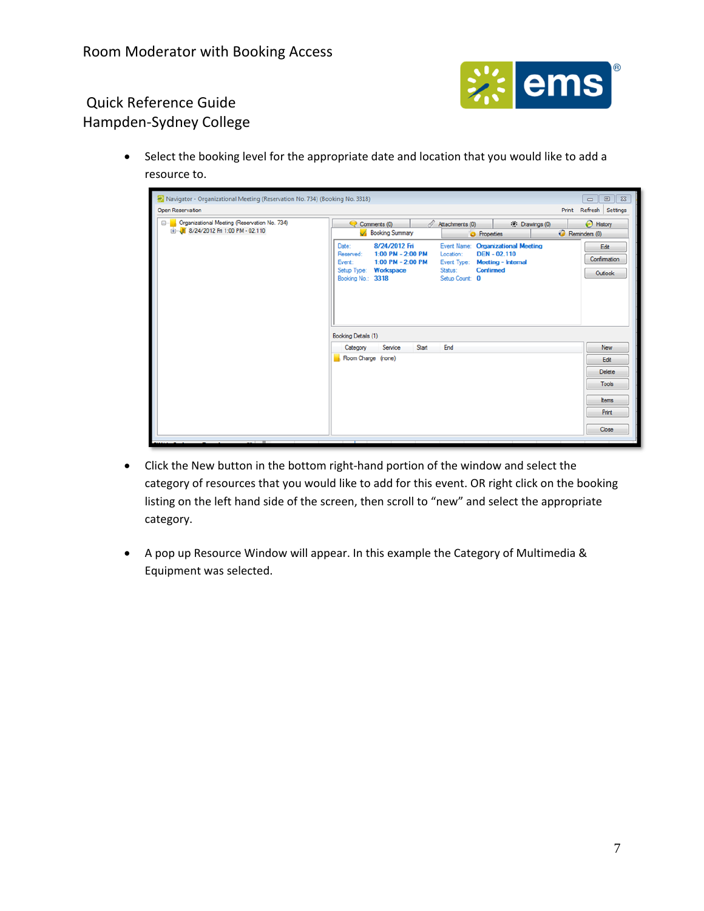

 Select the booking level for the appropriate date and location that you would like to add a resource to.

| Navigator - Organizational Meeting (Reservation No. 734) (Booking No. 3318)                 |                                                                                                                                         |                                                                                                                                                                   |                                 |
|---------------------------------------------------------------------------------------------|-----------------------------------------------------------------------------------------------------------------------------------------|-------------------------------------------------------------------------------------------------------------------------------------------------------------------|---------------------------------|
| Open Reservation                                                                            |                                                                                                                                         |                                                                                                                                                                   | Refresh Settings<br>Print       |
| <b>E-</b> Crganizational Meeting (Reservation No. 734)<br>E-18/24/2012 Fri 1:00 PM - 02.110 | Attachments (0)<br>Comments (0)<br><b>Booking Summary</b>                                                                               | <b>B</b> History<br>Reminders (0)                                                                                                                                 |                                 |
|                                                                                             | 8/24/2012 Fri<br>Date:<br>$1:00$ PM - 2:00 PM<br>Reserved:<br>Event:<br>1:00 PM - 2:00 PM<br>Setup Type: Workspace<br>Booking No.: 3318 | Event Name: Organizational Meeting<br><b>DEN-02.110</b><br>Location:<br>Event Type:<br><b>Meeting - Internal</b><br><b>Confirmed</b><br>Status:<br>Setup Count: 0 | Edit<br>Confirmation<br>Outlook |
|                                                                                             | Booking Details (1)                                                                                                                     |                                                                                                                                                                   |                                 |
|                                                                                             | Service<br>Category<br>Start                                                                                                            | End                                                                                                                                                               | New                             |
|                                                                                             | Room Charge (none)                                                                                                                      |                                                                                                                                                                   | Edit                            |
|                                                                                             |                                                                                                                                         |                                                                                                                                                                   | Delete                          |
|                                                                                             |                                                                                                                                         |                                                                                                                                                                   | <b>Tools</b>                    |
|                                                                                             |                                                                                                                                         |                                                                                                                                                                   | Items                           |
|                                                                                             |                                                                                                                                         |                                                                                                                                                                   | Print                           |
|                                                                                             |                                                                                                                                         |                                                                                                                                                                   | Close                           |

- Click the New button in the bottom right-hand portion of the window and select the category of resources that you would like to add for this event. OR right click on the booking listing on the left hand side of the screen, then scroll to "new" and select the appropriate category.
- A pop up Resource Window will appear. In this example the Category of Multimedia & Equipment was selected.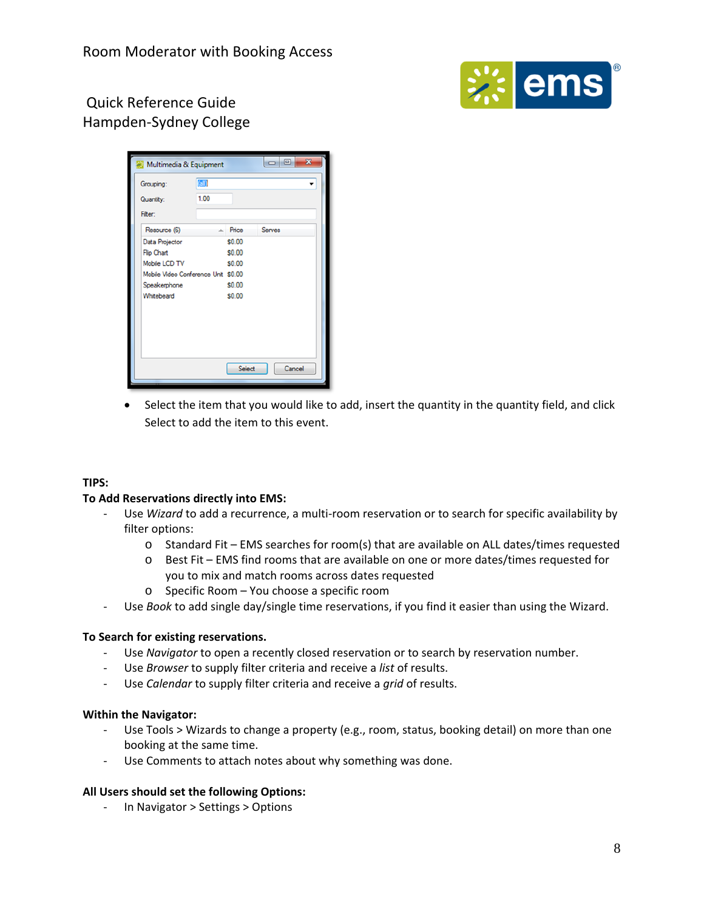



 Select the item that you would like to add, insert the quantity in the quantity field, and click Select to add the item to this event.

#### **TIPS:**

#### **To Add Reservations directly into EMS:**

- ‐ Use *Wizard* to add a recurrence, a multi‐room reservation or to search for specific availability by filter options:
	- o Standard Fit EMS searches for room(s) that are available on ALL dates/times requested
	- o Best Fit EMS find rooms that are available on one or more dates/times requested for you to mix and match rooms across dates requested
	- o Specific Room You choose a specific room
- ‐ Use *Book* to add single day/single time reservations, if you find it easier than using the Wizard.

#### **To Search for existing reservations.**

- ‐ Use *Navigator* to open a recently closed reservation or to search by reservation number.
- ‐ Use *Browser* to supply filter criteria and receive a *list* of results.
- ‐ Use *Calendar* to supply filter criteria and receive a *grid* of results.

#### **Within the Navigator:**

- ‐ Use Tools > Wizards to change a property (e.g., room, status, booking detail) on more than one booking at the same time.
- ‐ Use Comments to attach notes about why something was done.

#### **All Users should set the following Options:**

‐ In Navigator > Settings > Options